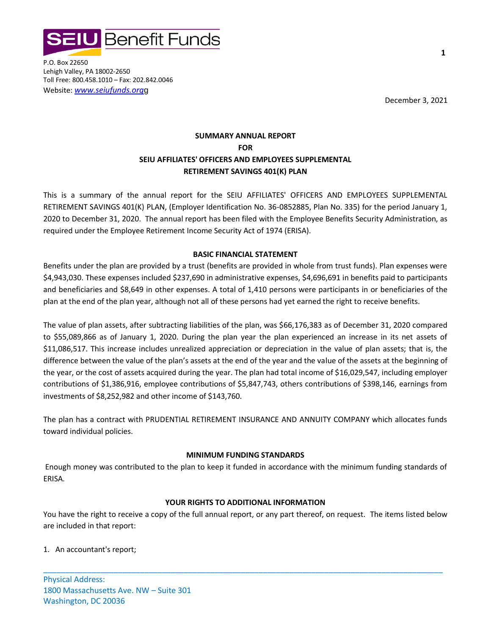

P.O. Box 22650 Lehigh Valley, PA 18002-2650 Toll Free: 800.458.1010 – Fax: 202.842.0046 Website: *www.seiufunds.org*g

December 3, 2021

# **SUMMARY ANNUAL REPORT FOR SEIU AFFILIATES' OFFICERS AND EMPLOYEES SUPPLEMENTAL RETIREMENT SAVINGS 401(K) PLAN**

This is a summary of the annual report for the SEIU AFFILIATES' OFFICERS AND EMPLOYEES SUPPLEMENTAL RETIREMENT SAVINGS 401(K) PLAN, (Employer Identification No. 36-0852885, Plan No. 335) for the period January 1, 2020 to December 31, 2020. The annual report has been filed with the Employee Benefits Security Administration, as required under the Employee Retirement Income Security Act of 1974 (ERISA).

# **BASIC FINANCIAL STATEMENT**

Benefits under the plan are provided by a trust (benefits are provided in whole from trust funds). Plan expenses were \$4,943,030. These expenses included \$237,690 in administrative expenses, \$4,696,691 in benefits paid to participants and beneficiaries and \$8,649 in other expenses. A total of 1,410 persons were participants in or beneficiaries of the plan at the end of the plan year, although not all of these persons had yet earned the right to receive benefits.

The value of plan assets, after subtracting liabilities of the plan, was \$66,176,383 as of December 31, 2020 compared to \$55,089,866 as of January 1, 2020. During the plan year the plan experienced an increase in its net assets of \$11,086,517. This increase includes unrealized appreciation or depreciation in the value of plan assets; that is, the difference between the value of the plan's assets at the end of the year and the value of the assets at the beginning of the year, or the cost of assets acquired during the year. The plan had total income of \$16,029,547, including employer contributions of \$1,386,916, employee contributions of \$5,847,743, others contributions of \$398,146, earnings from investments of \$8,252,982 and other income of \$143,760.

The plan has a contract with PRUDENTIAL RETIREMENT INSURANCE AND ANNUITY COMPANY which allocates funds toward individual policies.

# **MINIMUM FUNDING STANDARDS**

Enough money was contributed to the plan to keep it funded in accordance with the minimum funding standards of ERISA.

# **YOUR RIGHTS TO ADDITIONAL INFORMATION**

You have the right to receive a copy of the full annual report, or any part thereof, on request. The items listed below are included in that report:

\_\_\_\_\_\_\_\_\_\_\_\_\_\_\_\_\_\_\_\_\_\_\_\_\_\_\_\_\_\_\_\_\_\_\_\_\_\_\_\_\_\_\_\_\_\_\_\_\_\_\_\_\_\_\_\_\_\_\_\_\_\_\_\_\_\_\_\_\_\_\_\_\_\_\_\_\_\_\_\_\_\_\_\_\_\_\_\_\_\_\_

# 1. An accountant's report;